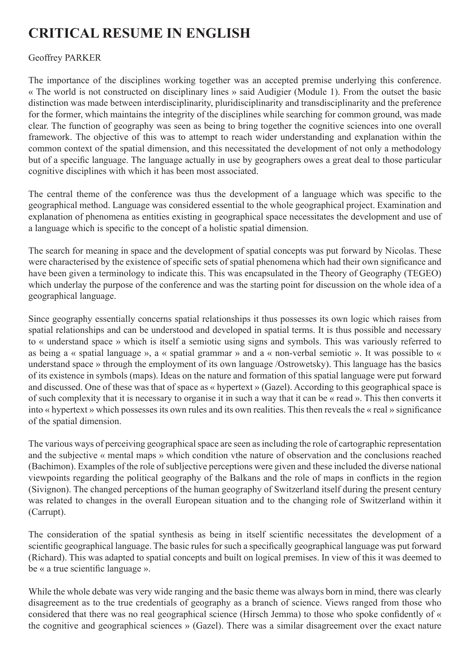## **CRITICAL RESUME IN ENGLISH**

## Geoffrey PARKER

The importance of the disciplines working together was an accepted premise underlying this conference. « The world is not constructed on disciplinary lines » said Audigier (Module 1). From the outset the basic distinction was made between interdisciplinarity, pluridisciplinarity and transdisciplinarity and the preference for the former, which maintains the integrity of the disciplines while searching for common ground, was made clear. The function of geography was seen as being to bring together the cognitive sciences into one overall framework. The objective of this was to attempt to reach wider understanding and explanation within the common context of the spatial dimension, and this necessitated the development of not only a methodology but of a specific language. The language actually in use by geographers owes a great deal to those particular cognitive disciplines with which it has been most associated.

The central theme of the conference was thus the development of a language which was specific to the geographical method. Language was considered essential to the whole geographical project. Examination and explanation of phenomena as entities existing in geographical space necessitates the development and use of a language which is specific to the concept of a holistic spatial dimension.

The search for meaning in space and the development of spatial concepts was put forward by Nicolas. These were characterised by the existence of specific sets of spatial phenomena which had their own significance and have been given a terminology to indicate this. This was encapsulated in the Theory of Geography (TEGEO) which underlay the purpose of the conference and was the starting point for discussion on the whole idea of a geographical language.

Since geography essentially concerns spatial relationships it thus possesses its own logic which raises from spatial relationships and can be understood and developed in spatial terms. It is thus possible and necessary to « understand space » which is itself a semiotic using signs and symbols. This was variously referred to as being a « spatial language », a « spatial grammar » and a « non-verbal semiotic ». It was possible to « understand space » through the employment of its own language /Ostrowetsky). This language has the basics of its existence in symbols (maps). Ideas on the nature and formation of this spatial language were put forward and discussed. One of these was that of space as « hypertext » (Gazel). According to this geographical space is of such complexity that it is necessary to organise it in such a way that it can be « read ». This then converts it into « hypertext » which possesses its own rules and its own realities. This then reveals the « real » significance of the spatial dimension.

The various ways of perceiving geographical space are seen as including the role of cartographic representation and the subjective « mental maps » which condition vthe nature of observation and the conclusions reached (Bachimon). Examples of the role of subljective perceptions were given and these included the diverse national viewpoints regarding the political geography of the Balkans and the role of maps in conflicts in the region (Sivignon). The changed perceptions of the human geography of Switzerland itself during the present century was related to changes in the overall European situation and to the changing role of Switzerland within it (Carrupt).

The consideration of the spatial synthesis as being in itself scientific necessitates the development of a scientific geographical language. The basic rules for such a specifically geographical language was put forward (Richard). This was adapted to spatial concepts and built on logical premises. In view of this it was deemed to be « a true scientific language ».

While the whole debate was very wide ranging and the basic theme was always born in mind, there was clearly disagreement as to the true credentials of geography as a branch of science. Views ranged from those who considered that there was no real geographical science (Hirsch Jemma) to those who spoke confidently of « the cognitive and geographical sciences » (Gazel). There was a similar disagreement over the exact nature